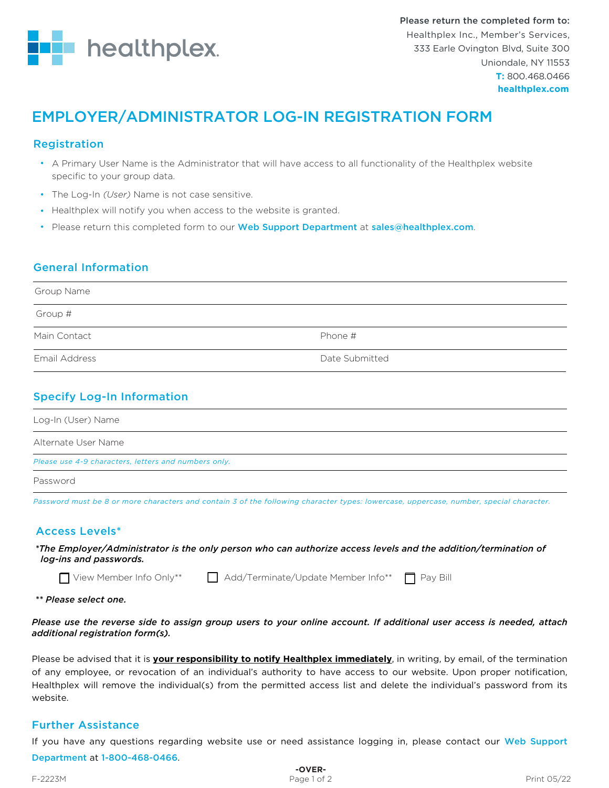

# EMPLOYER/ADMINISTRATOR LOG-IN REGISTRATION FORM

## Registration

- A Primary User Name is the Administrator that will have access to all functionality of the Healthplex website specific to your group data.
- The Log-In *(User)* Name is not case sensitive.
- Healthplex will notify you when access to the website is granted.
- Please return this completed form to our Web Support Department at sales@healthplex.com.

## General Information

| Phone #        |
|----------------|
| Date Submitted |
|                |

## Specify Log-In Information

| Log-In (User) Name                                   |
|------------------------------------------------------|
| Alternate User Name                                  |
| Please use 4-9 characters, letters and numbers only. |
| Password                                             |

*Password must be 8 or more characters and contain 3 of the following character types: lowercase, uppercase, number, special character.*

## Access Levels\*

*\*The Employer/Administrator is the only person who can authorize access levels and the addition/termination of log-ins and passwords.*

 $\Box$  View Member Info Only\*\*  $\Box$  Add/Terminate/Update Member Info\*\*  $\Box$  Pay Bill

*\*\* Please select one.* 

*Please use the reverse side to assign group users to your online account. If additional user access is needed, attach additional registration form(s).*

Please be advised that it is **your responsibility to notify Healthplex immediately**, in writing, by email, of the termination of any employee, or revocation of an individual's authority to have access to our website. Upon proper notification, Healthplex will remove the individual(s) from the permitted access list and delete the individual's password from its website.

## Further Assistance

If you have any questions regarding website use or need assistance logging in, please contact our Web Support Department at 1-800-468-0466.